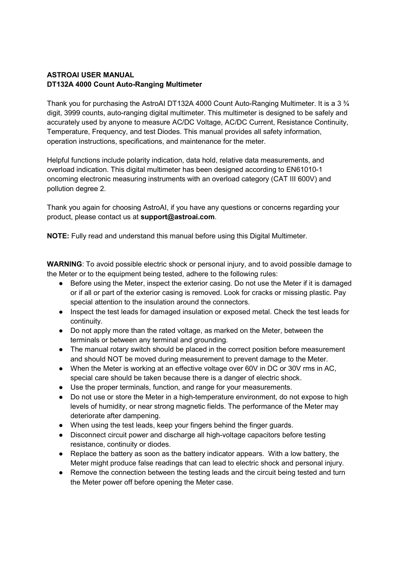# **ASTROAI USER MANUAL DT132A 4000 Count Auto-Ranging Multimeter**

Thank you for purchasing the AstroAI DT132A 4000 Count Auto-Ranging Multimeter. It is a 3 ¾ digit, 3999 counts, auto-ranging digital multimeter. This multimeter is designed to be safely and accurately used by anyone to measure AC/DC Voltage, AC/DC Current, Resistance Continuity, Temperature, Frequency, and test Diodes. This manual provides all safety information, operation instructions, specifications, and maintenance for the meter.

Helpful functions include polarity indication, data hold, relative data measurements, and overload indication. This digital multimeter has been designed according to EN61010-1 oncoming electronic measuring instruments with an overload category (CAT III 600V) and pollution degree 2.

Thank you again for choosing AstroAI, if you have any questions or concerns regarding your product, please contact us at **support@astroai.com**.

**NOTE:** Fully read and understand this manual before using this Digital Multimeter.

**WARNING**: To avoid possible electric shock or personal injury, and to avoid possible damage to the Meter or to the equipment being tested, adhere to the following rules:

- Before using the Meter, inspect the exterior casing. Do not use the Meter if it is damaged or if all or part of the exterior casing is removed. Look for cracks or missing plastic. Pay special attention to the insulation around the connectors.
- Inspect the test leads for damaged insulation or exposed metal. Check the test leads for continuity.
- Do not apply more than the rated voltage, as marked on the Meter, between the terminals or between any terminal and grounding.
- The manual rotary switch should be placed in the correct position before measurement and should NOT be moved during measurement to prevent damage to the Meter.
- When the Meter is working at an effective voltage over 60V in DC or 30V rms in AC, special care should be taken because there is a danger of electric shock.
- Use the proper terminals, function, and range for your measurements.
- Do not use or store the Meter in a high-temperature environment, do not expose to high levels of humidity, or near strong magnetic fields. The performance of the Meter may deteriorate after dampening.
- When using the test leads, keep your fingers behind the finger guards.
- Disconnect circuit power and discharge all high-voltage capacitors before testing resistance, continuity or diodes.
- Replace the battery as soon as the battery indicator appears. With a low battery, the Meter might produce false readings that can lead to electric shock and personal injury.
- Remove the connection between the testing leads and the circuit being tested and turn the Meter power off before opening the Meter case.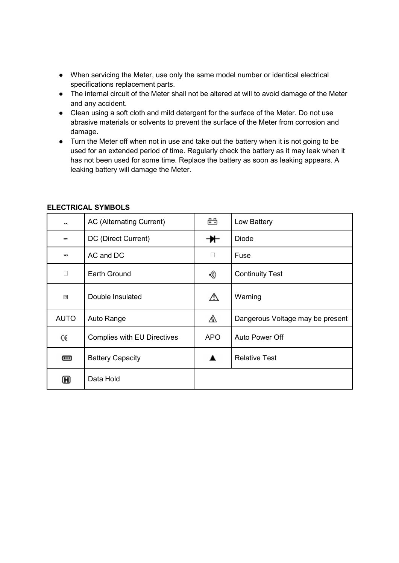- When servicing the Meter, use only the same model number or identical electrical specifications replacement parts.
- The internal circuit of the Meter shall not be altered at will to avoid damage of the Meter and any accident.
- Clean using a soft cloth and mild detergent for the surface of the Meter. Do not use abrasive materials or solvents to prevent the surface of the Meter from corrosion and damage.
- Turn the Meter off when not in use and take out the battery when it is not going to be used for an extended period of time. Regularly check the battery as it may leak when it has not been used for some time. Replace the battery as soon as leaking appears. A leaking battery will damage the Meter.

| S                 | <b>AC (Alternating Current)</b> | 凸          | Low Battery                      |
|-------------------|---------------------------------|------------|----------------------------------|
| $=$               | DC (Direct Current)             | ₩          | <b>Diode</b>                     |
| $\overline{\sim}$ | AC and DC                       | □          | Fuse                             |
| П                 | Earth Ground                    | •》         | <b>Continuity Test</b>           |
| 回                 | Double Insulated                | ⚠          | Warning                          |
| <b>AUTO</b>       | Auto Range                      | ⚠          | Dangerous Voltage may be present |
| CE                | Complies with EU Directives     | <b>APO</b> | Auto Power Off                   |
| œ                 | <b>Battery Capacity</b>         |            | <b>Relative Test</b>             |
| $\bf \bf H$       | Data Hold                       |            |                                  |

# **ELECTRICAL SYMBOLS**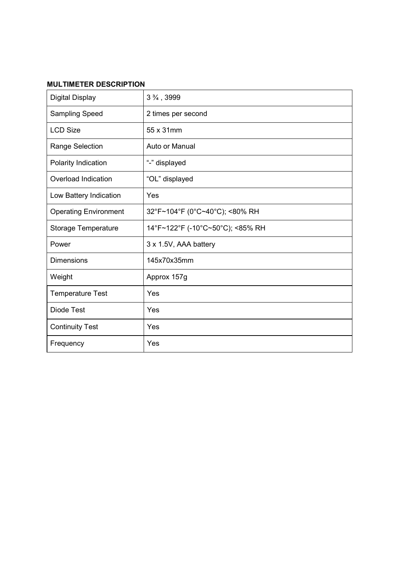# **MULTIMETER DESCRIPTION**

| <b>Digital Display</b>       | 3 %, 3999                        |
|------------------------------|----------------------------------|
| Sampling Speed               | 2 times per second               |
| <b>LCD Size</b>              | 55 x 31mm                        |
| Range Selection              | Auto or Manual                   |
| Polarity Indication          | "-" displayed                    |
| Overload Indication          | "OL" displayed                   |
| Low Battery Indication       | Yes                              |
| <b>Operating Environment</b> | 32°F~104°F (0°C~40°C); <80% RH   |
| Storage Temperature          | 14°F~122°F (-10°C~50°C); <85% RH |
| Power                        | 3 x 1.5V, AAA battery            |
| <b>Dimensions</b>            | 145x70x35mm                      |
| Weight                       | Approx 157g                      |
| <b>Temperature Test</b>      | Yes                              |
| <b>Diode Test</b>            | Yes                              |
| <b>Continuity Test</b>       | Yes                              |
| Frequency                    | Yes                              |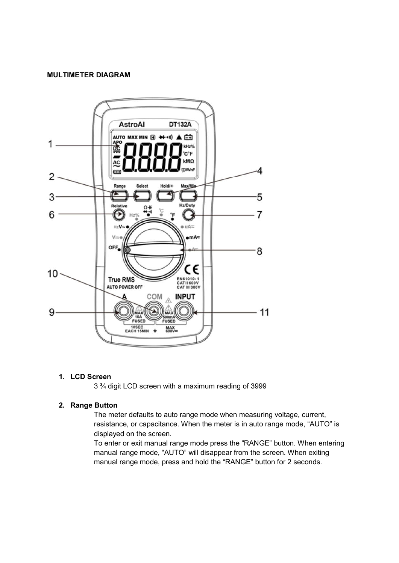#### **MULTIMETER DIAGRAM**



# **1. LCD Screen**

3 ¾ digit LCD screen with a maximum reading of 3999

## **2. Range Button**

The meter defaults to auto range mode when measuring voltage, current, resistance, or capacitance. When the meter is in auto range mode, "AUTO" is displayed on the screen.

To enter or exit manual range mode press the "RANGE" button. When entering manual range mode, "AUTO" will disappear from the screen. When exiting manual range mode, press and hold the "RANGE" button for 2 seconds.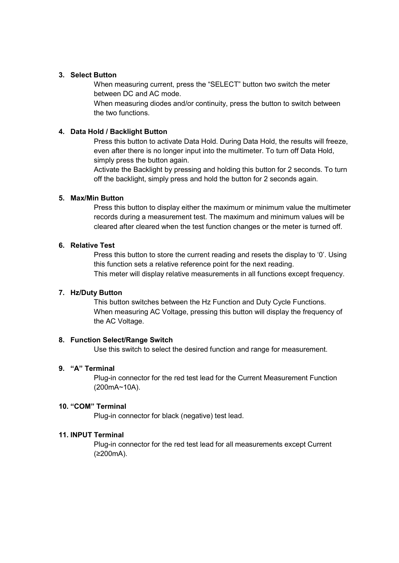## **3. Select Button**

When measuring current, press the "SELECT" button two switch the meter between DC and AC mode.

When measuring diodes and/or continuity, press the button to switch between the two functions.

### **4. Data Hold / Backlight Button**

Press this button to activate Data Hold. During Data Hold, the results will freeze, even after there is no longer input into the multimeter. To turn off Data Hold, simply press the button again.

Activate the Backlight by pressing and holding this button for 2 seconds. To turn off the backlight, simply press and hold the button for 2 seconds again.

### **5. Max/Min Button**

Press this button to display either the maximum or minimum value the multimeter records during a measurement test. The maximum and minimum values will be cleared after cleared when the test function changes or the meter is turned off.

# **6. Relative Test**

Press this button to store the current reading and resets the display to '0'. Using this function sets a relative reference point for the next reading. This meter will display relative measurements in all functions except frequency.

### **7. Hz/Duty Button**

This button switches between the Hz Function and Duty Cycle Functions. When measuring AC Voltage, pressing this button will display the frequency of the AC Voltage.

### **8. Function Select/Range Switch**

Use this switch to select the desired function and range for measurement.

### **9. "A" Terminal**

Plug-in connector for the red test lead for the Current Measurement Function (200mA~10A).

### **10. "COM" Terminal**

Plug-in connector for black (negative) test lead.

### **11. INPUT Terminal**

Plug-in connector for the red test lead for all measurements except Current (≥200mA).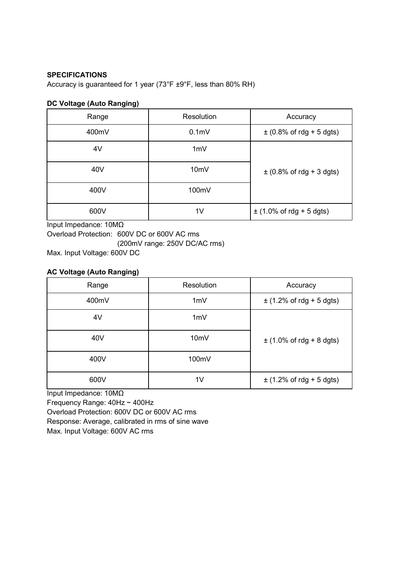## **SPECIFICATIONS**

Accuracy is guaranteed for 1 year (73°F ±9°F, less than 80% RH)

### **DC Voltage (Auto Ranging)**

| Range | Resolution        | Accuracy                     |
|-------|-------------------|------------------------------|
| 400mV | 0.1 <sub>m</sub>  | $\pm$ (0.8% of rdg + 5 dgts) |
| 4V    | 1mV               |                              |
| 40V   | 10 <sub>m</sub> V | $\pm$ (0.8% of rdg + 3 dgts) |
| 400V  | 100mV             |                              |
| 600V  | 1 <sub>V</sub>    | $\pm$ (1.0% of rdg + 5 dgts) |

Input Impedance: 10MΩ Overload Protection: 600V DC or 600V AC rms (200mV range: 250V DC/AC rms) Max. Input Voltage: 600V DC

# **AC Voltage (Auto Ranging)**

| Range | Resolution        | Accuracy                     |
|-------|-------------------|------------------------------|
| 400mV | 1mV               | $\pm$ (1.2% of rdg + 5 dgts) |
| 4V    | 1mV               |                              |
| 40V   | 10 <sub>m</sub> V | $\pm$ (1.0% of rdg + 8 dgts) |
| 400V  | 100mV             |                              |
| 600V  | 1 <sub>V</sub>    | $\pm$ (1.2% of rdg + 5 dgts) |

Input Impedance: 10MΩ

Frequency Range: 40Hz ~ 400Hz

Overload Protection: 600V DC or 600V AC rms

Response: Average, calibrated in rms of sine wave

Max. Input Voltage: 600V AC rms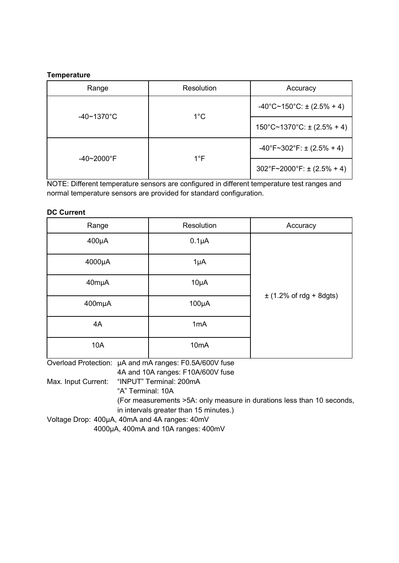## **Temperature**

| Range                     | Resolution    | Accuracy                                         |
|---------------------------|---------------|--------------------------------------------------|
|                           |               | $-40^{\circ}$ C~150 $^{\circ}$ C: ± (2.5% + 4)   |
| $-40 \sim 1370^{\circ}$ C | $1^{\circ}$ C | $150^{\circ}$ C~1370 $^{\circ}$ C: ± (2.5% + 4)  |
|                           | $1^{\circ}$ F | $-40^{\circ}F - 302^{\circ}F$ : ± (2.5% + 4)     |
| $-40 - 2000$ °F           |               | $302^{\circ}F \sim 2000^{\circ}F$ : ± (2.5% + 4) |

NOTE: Different temperature sensors are configured in different temperature test ranges and normal temperature sensors are provided for standard configuration.

## **DC Current**

| $400\mu A$<br>$0.1\mu A$        |                             |
|---------------------------------|-----------------------------|
|                                 |                             |
| 4000µA<br>$1\mu A$              |                             |
| $10\mu A$<br>40mµA              |                             |
| 400mµA<br>$100\mu A$            | $\pm$ (1.2% of rdg + 8dgts) |
| 1mA<br>4A                       |                             |
| <b>10A</b><br>10 <sub>m</sub> A |                             |

Overload Protection: µA and mA ranges: F0.5A/600V fuse

4A and 10A ranges: F10A/600V fuse

Max. Input Current: "INPUT" Terminal: 200mA

"A" Terminal: 10A

(For measurements >5A: only measure in durations less than 10 seconds,

in intervals greater than 15 minutes.)

Voltage Drop: 400µA, 40mA and 4A ranges: 40mV

4000µA, 400mA and 10A ranges: 400mV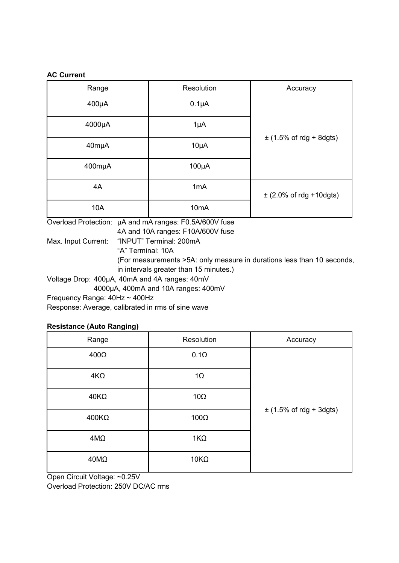## **AC Current**

| Range      | Resolution        | Accuracy                    |
|------------|-------------------|-----------------------------|
| $400\mu A$ | $0.1\mu A$        |                             |
| 4000µA     | $1\mu A$          |                             |
| 40mµA      | $10\mu A$         | $\pm$ (1.5% of rdg + 8dgts) |
| 400mµA     | $100\mu A$        |                             |
| 4A         | 1mA               | $\pm$ (2.0% of rdg +10dgts) |
| 10A        | 10 <sub>m</sub> A |                             |

Overload Protection: µA and mA ranges: F0.5A/600V fuse

4A and 10A ranges: F10A/600V fuse

Max. Input Current: "INPUT" Terminal: 200mA

"A" Terminal: 10A

(For measurements >5A: only measure in durations less than 10 seconds,

in intervals greater than 15 minutes.)

Voltage Drop: 400µA, 40mA and 4A ranges: 40mV

4000µA, 400mA and 10A ranges: 400mV

Frequency Range: 40Hz ~ 400Hz

Response: Average, calibrated in rms of sine wave

# **Resistance (Auto Ranging)**

| Range        | Resolution  | Accuracy                    |
|--------------|-------------|-----------------------------|
| $400\Omega$  | $0.1\Omega$ |                             |
| $4K\Omega$   | $1\Omega$   |                             |
| $40K\Omega$  | $10\Omega$  |                             |
| $400K\Omega$ | $100\Omega$ | $\pm$ (1.5% of rdg + 3dgts) |
| $4M\Omega$   | $1K\Omega$  |                             |
| $40M\Omega$  | $10K\Omega$ |                             |

Open Circuit Voltage: ~0.25V

Overload Protection: 250V DC/AC rms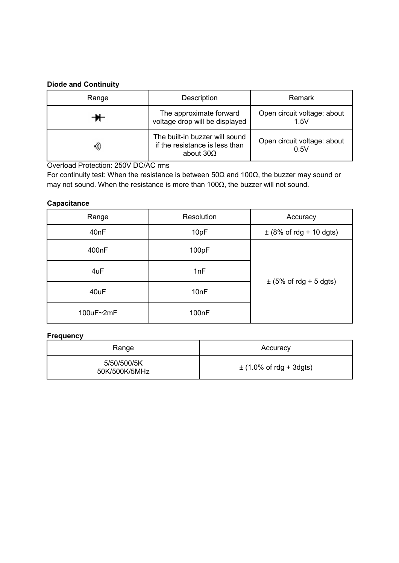# **Diode and Continuity**

| Range | Description                                                                          | Remark                              |
|-------|--------------------------------------------------------------------------------------|-------------------------------------|
|       | The approximate forward<br>voltage drop will be displayed                            | Open circuit voltage: about<br>1.5V |
| •))   | The built-in buzzer will sound<br>if the resistance is less than<br>about $30\Omega$ | Open circuit voltage: about<br>0.5V |

Overload Protection: 250V DC/AC rms

For continuity test: When the resistance is between 50Ω and 100Ω, the buzzer may sound or may not sound. When the resistance is more than 100Ω, the buzzer will not sound.

# **Capacitance**

| Range     | Resolution         | Accuracy                    |
|-----------|--------------------|-----------------------------|
| 40nF      | 10pF               | $\pm$ (8% of rdg + 10 dgts) |
| 400nF     | 100pF              |                             |
| 4uF       | 1nF                |                             |
| 40uF      | 10nF               | $\pm$ (5% of rdg + 5 dgts)  |
| 100uF~2mF | 100 <sub>n</sub> F |                             |

# **Frequency**

| Range                        | Accuracy                    |
|------------------------------|-----------------------------|
| 5/50/500/5K<br>50K/500K/5MHz | $\pm$ (1.0% of rdg + 3dgts) |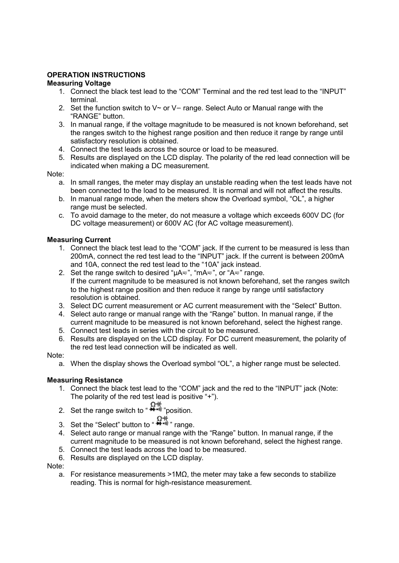# **OPERATION INSTRUCTIONS**

# **Measuring Voltage**

- 1. Connect the black test lead to the "COM" Terminal and the red test lead to the "INPUT" terminal.
- 2. Set the function switch to  $V \sim$  or  $V =$  range. Select Auto or Manual range with the "RANGE" button.
- 3. In manual range, if the voltage magnitude to be measured is not known beforehand, set the ranges switch to the highest range position and then reduce it range by range until satisfactory resolution is obtained.
- 4. Connect the test leads across the source or load to be measured.
- 5. Results are displayed on the LCD display. The polarity of the red lead connection will be indicated when making a DC measurement.

# Note:

- a. In small ranges, the meter may display an unstable reading when the test leads have not been connected to the load to be measured. It is normal and will not affect the results.
- b. In manual range mode, when the meters show the Overload symbol, "OL", a higher range must be selected.
- c. To avoid damage to the meter, do not measure a voltage which exceeds 600V DC (for DC voltage measurement) or 600V AC (for AC voltage measurement).

# **Measuring Current**

- 1. Connect the black test lead to the "COM" jack. If the current to be measured is less than 200mA, connect the red test lead to the "INPUT" jack. If the current is between 200mA and 10A, connect the red test lead to the "10A" jack instead.
- 2. Set the range switch to desired " $\mu$ A $\approx$ ", "mA $\approx$ ", or "A $\approx$ " range. If the current magnitude to be measured is not known beforehand, set the ranges switch to the highest range position and then reduce it range by range until satisfactory resolution is obtained.
- 3. Select DC current measurement or AC current measurement with the "Select" Button.
- 4. Select auto range or manual range with the "Range" button. In manual range, if the current magnitude to be measured is not known beforehand, select the highest range.
- 5. Connect test leads in series with the circuit to be measured.
- 6. Results are displayed on the LCD display. For DC current measurement, the polarity of the red test lead connection will be indicated as well.

# Note:

a. When the display shows the Overload symbol "OL", a higher range must be selected.

# **Measuring Resistance**

- 1. Connect the black test lead to the "COM" jack and the red to the "INPUT" jack (Note: The polarity of the red test lead is positive "+").
- 2. Set the range switch to  $\mathbb{R}^{4}$  position.
	-
- 1+ Ω+<br>3. Set the "Select" button to " <sup>1+++1</sup>" range.
- 4. Select auto range or manual range with the "Range" button. In manual range, if the current magnitude to be measured is not known beforehand, select the highest range.
- 5. Connect the test leads across the load to be measured.
- 6. Results are displayed on the LCD display.

# Note:

a. For resistance measurements >1MΩ, the meter may take a few seconds to stabilize reading. This is normal for high-resistance measurement.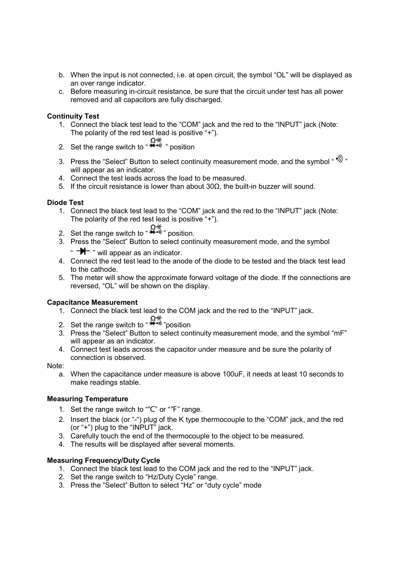- b. When the input is not connected, i.e. at open circuit, the symbol "OL" will be displayed as an over range indicator.
- c. Before measuring in-circuit resistance, be sure that the circuit under test has all power removed and all capacitors are fully discharged.

## **Continuity Test**

- 1. Connect the black test lead to the "COM" jack and the red to the "INPUT" jack (Note: The polarity of the red test lead is positive "+").
- 2. Set the range switch to  $\mathbf{R}^+$  " position
- 3. Press the "Select" Button to select continuity measurement mode, and the symbol " \*)) " will appear as an indicator.
- 4. Connect the test leads across the load to be measured.
- 5. If the circuit resistance is lower than about 30Ω, the built-in buzzer will sound.

## **Diode Test**

- 1. Connect the black test lead to the "COM" jack and the red to the "INPUT" jack (Note: The polarity of the red test lead is positive "+").
- 2. Set the range switch to  $\overbrace{ }^{a+\cdots}$  position.
- 3. Press the "Select" Button to select continuity measurement mode, and the symbol
	- "  $\rightarrow \rightarrow \rightarrow$  " will appear as an indicator.
- 4. Connect the red test lead to the anode of the diode to be tested and the black test lead to the cathode.
- 5. The meter will show the approximate forward voltage of the diode. If the connections are reversed, "OL" will be shown on the display.

# **Capacitance Measurement**

- 1. Connect the black test lead to the COM jack and the red to the "INPUT" jack.
- 2. Set the range switch to  $\mathbb{R}^{4}$  " position
- 3. Press the "Select" Button to select continuity measurement mode, and the symbol "mF" will appear as an indicator.
- 4. Connect test leads across the capacitor under measure and be sure the polarity of connection is observed.

### Note:

a. When the capacitance under measure is above 100uF, it needs at least 10 seconds to make readings stable.

### **Measuring Temperature**

- 1. Set the range switch to "℃" or "℉" range.
- 2. Insert the black (or "-") plug of the K type thermocouple to the "COM" jack, and the red (or "+") plug to the "INPUT" jack.
- 3. Carefully touch the end of the thermocouple to the object to be measured.
- 4. The results will be displayed after several moments.

### **Measuring Frequency/Duty Cycle**

- 1. Connect the black test lead to the COM jack and the red to the "INPUT" jack.
- 2. Set the range switch to "Hz/Duty Cycle" range.
- 3. Press the "Select" Button to select "Hz" or "duty cycle" mode